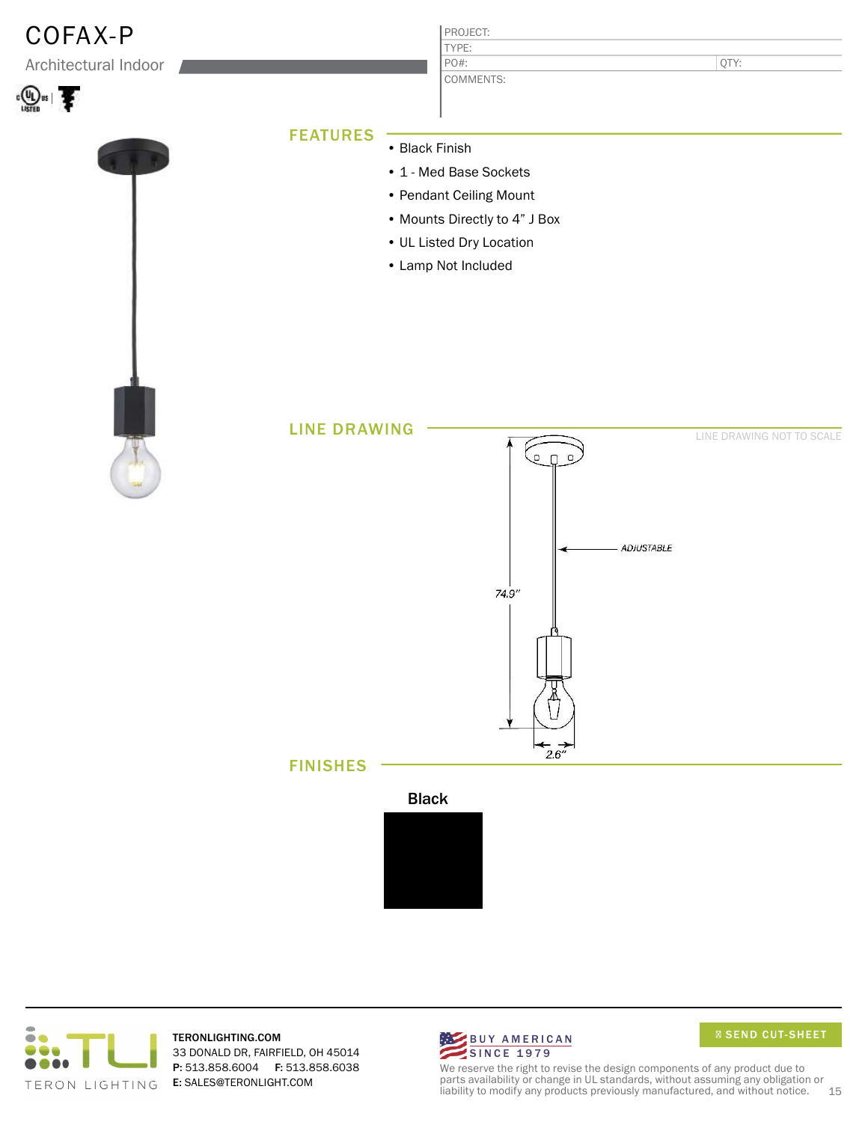

TERONLIGHTING.COM 33 DONALD DR, FAIRFIELD, OH 45014 P: 513.858.6004 F: 513.858.6038 E: SALES@TERONLIGHT.COM TERON LIGHTING



We reserve the right to revise the design components of any product due to parts availability or change in UL standards, without assuming any obligation or liability to modify any products previously manufactured, and without notice. 15